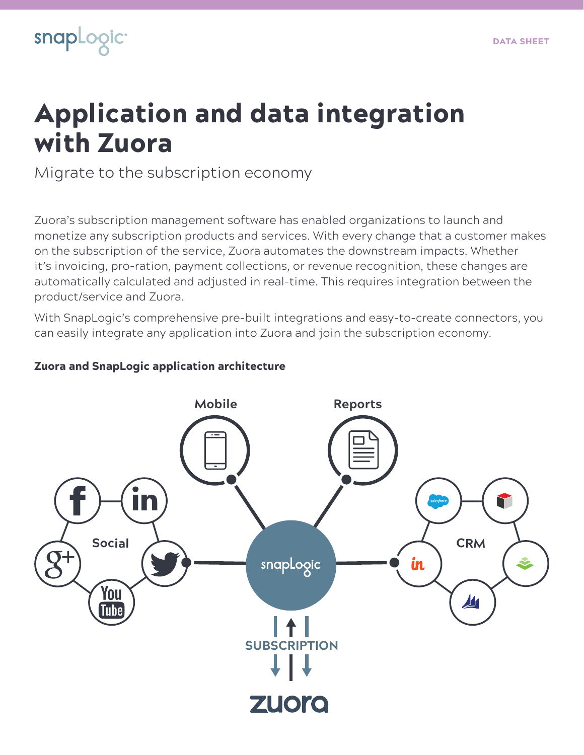

# Application and data integration with Zuora

Migrate to the subscription economy

Zuora's subscription management software has enabled organizations to launch and monetize any subscription products and services. With every change that a customer makes on the subscription of the service, Zuora automates the downstream impacts. Whether it's invoicing, pro-ration, payment collections, or revenue recognition, these changes are automatically calculated and adjusted in real-time. This requires integration between the product/service and Zuora.

With SnapLogic's comprehensive pre-built integrations and easy-to-create connectors, you can easily integrate any application into Zuora and join the subscription economy.

### Zuora and SnapLogic application architecture